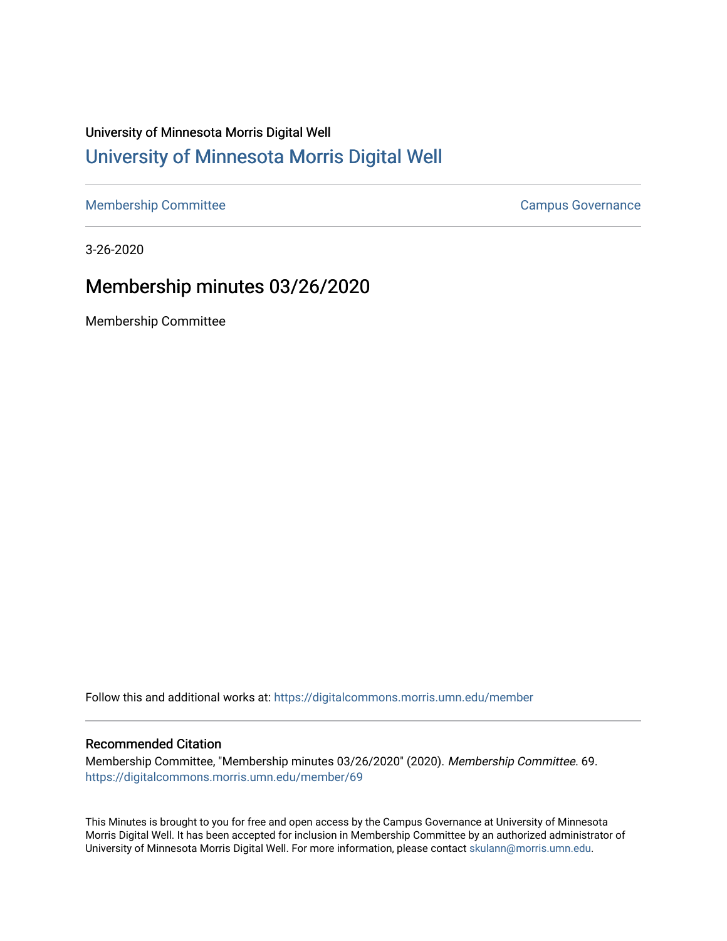# University of Minnesota Morris Digital Well [University of Minnesota Morris Digital Well](https://digitalcommons.morris.umn.edu/)

[Membership Committee](https://digitalcommons.morris.umn.edu/member) Campus Governance

3-26-2020

# Membership minutes 03/26/2020

Membership Committee

Follow this and additional works at: [https://digitalcommons.morris.umn.edu/member](https://digitalcommons.morris.umn.edu/member?utm_source=digitalcommons.morris.umn.edu%2Fmember%2F69&utm_medium=PDF&utm_campaign=PDFCoverPages) 

#### Recommended Citation

Membership Committee, "Membership minutes 03/26/2020" (2020). Membership Committee. 69. [https://digitalcommons.morris.umn.edu/member/69](https://digitalcommons.morris.umn.edu/member/69?utm_source=digitalcommons.morris.umn.edu%2Fmember%2F69&utm_medium=PDF&utm_campaign=PDFCoverPages) 

This Minutes is brought to you for free and open access by the Campus Governance at University of Minnesota Morris Digital Well. It has been accepted for inclusion in Membership Committee by an authorized administrator of University of Minnesota Morris Digital Well. For more information, please contact [skulann@morris.umn.edu](mailto:skulann@morris.umn.edu).